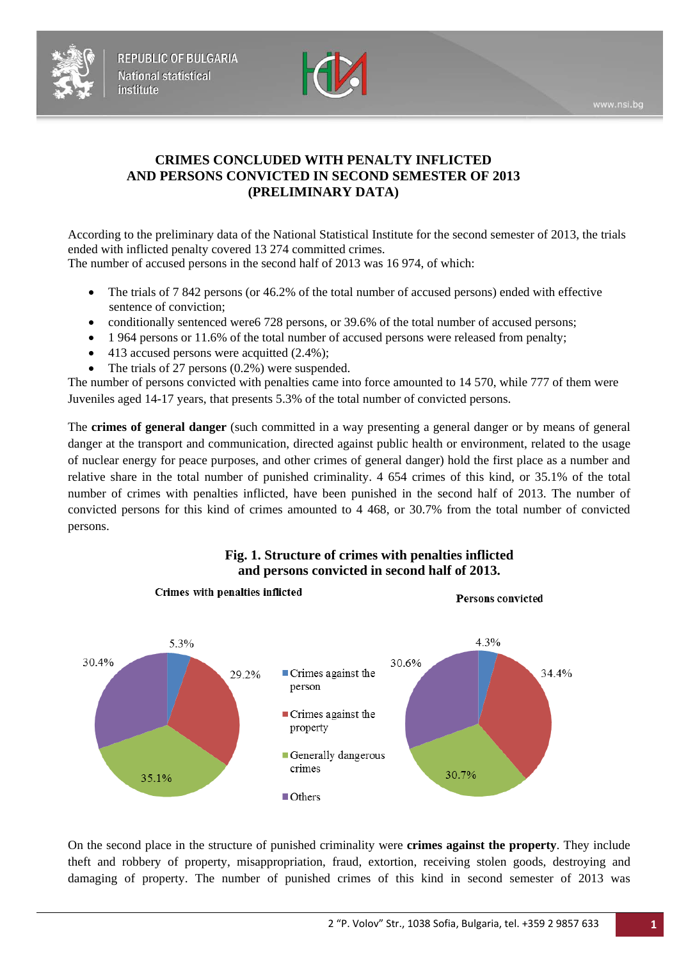



# **CRIMES CONCLUDED WITH PENALTY INFLICTED AND PERSONS CONVICTED IN SECOND SEMESTER OF 2013 (PRELIMINARY DATA)**

According to the preliminary data of the National Statistical Institute for the second semester of 2013, the trials ended with inflicted penalty covered 13 274 committed crimes. The number of accused persons in the second half of 2013 was 16 974, of which:

- The trials of 7 842 persons (or 46.2% of the total number of accused persons) ended with effective sentence of conviction;
- conditionally sentenced were6 728 persons, or 39.6% of the total number of accused persons;
- 1 964 persons or 11.6% of the total number of accused persons were released from penalty;
- 413 accused persons were acquitted (2.4%);
- The trials of 27 persons  $(0.2\%)$  were suspended.

Crimes with penalties inflicted

The number of persons convicted with penalties came into force amounted to 14 570, while 777 of them were Juveniles aged 14-17 years, that presents 5.3% of the total number of convicted persons.

The **crimes of general danger** (such committed in a way presenting a general danger or by means of general danger at the transport and communication, directed against public health or environment, related to the usage of nuclear energy for peace purposes, and other crimes of general danger) hold the first place as a number and relative share in the total number of punished criminality. 4 654 crimes of this kind, or 35.1% of the total number of crimes with penalties inflicted, have been punished in the second half of 2013. The number of convicted persons for this kind of crimes amounted to 4 468, or 30.7% from the total number of convicted persons.



# **Fig. 1. Structure of crimes with penalties inflicted and persons convicted in second half of 2013.**

On the second place in the structure of punished criminality were **crimes against the property**. They include theft and robbery of property, misappropriation, fraud, extortion, receiving stolen goods, destroying and damaging of property. The number of punished crimes of this kind in second semester of 2013 was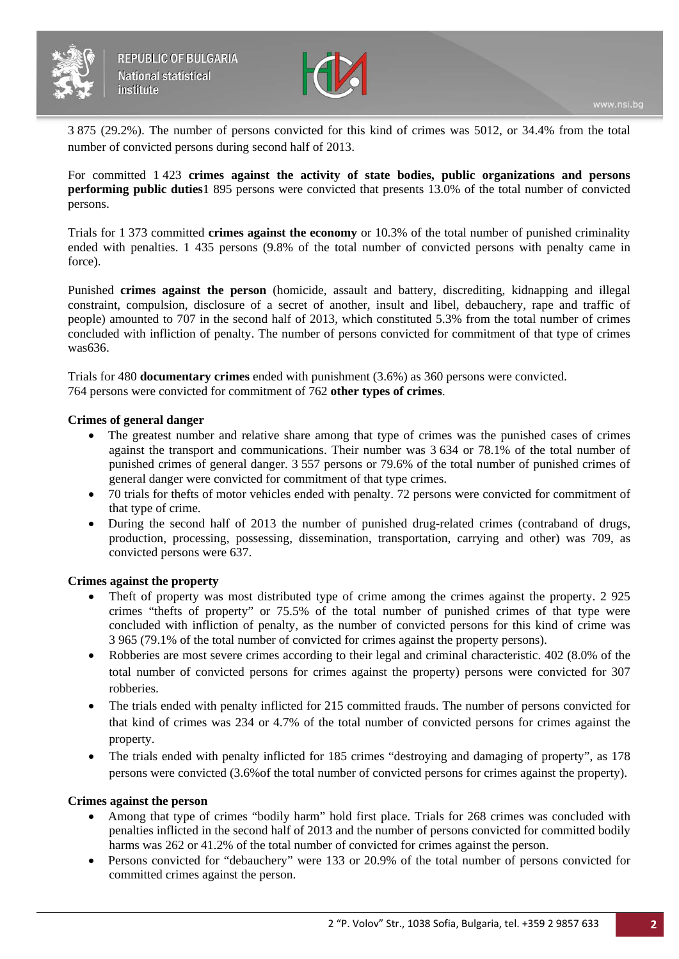



3 875 (29.2%). The number of persons convicted for this kind of crimes was 5012, or 34.4% from the total number of convicted persons during second half of 2013.

For committed 1 423 **crimes against the activity of state bodies, public organizations and persons performing public duties**1 895 persons were convicted that presents 13.0% of the total number of convicted persons.

Trials for 1 373 committed **crimes against the economy** or 10.3% of the total number of punished criminality ended with penalties. 1 435 persons (9.8% of the total number of convicted persons with penalty came in force).

Punished **crimes against the person** (homicide, assault and battery, discrediting, kidnapping and illegal constraint, compulsion, disclosure of a secret of another, insult and libel, debauchery, rape and traffic of people) amounted to 707 in the second half of 2013, which constituted 5.3% from the total number of crimes concluded with infliction of penalty. The number of persons convicted for commitment of that type of crimes was636.

Trials for 480 **documentary crimes** ended with punishment (3.6%) as 360 persons were convicted. 764 persons were convicted for commitment of 762 **other types of crimes**.

#### **Crimes of general danger**

- The greatest number and relative share among that type of crimes was the punished cases of crimes against the transport and communications. Their number was 3 634 or 78.1% of the total number of punished crimes of general danger. 3 557 persons or 79.6% of the total number of punished crimes of general danger were convicted for commitment of that type crimes.
- 70 trials for thefts of motor vehicles ended with penalty. 72 persons were convicted for commitment of that type of crime.
- During the second half of 2013 the number of punished drug-related crimes (contraband of drugs, production, processing, possessing, dissemination, transportation, carrying and other) was 709, as convicted persons were 637.

#### **Crimes against the property**

- Theft of property was most distributed type of crime among the crimes against the property. 2 925 crimes "thefts of property" or 75.5% of the total number of punished crimes of that type were concluded with infliction of penalty, as the number of convicted persons for this kind of crime was 3 965 (79.1% of the total number of convicted for crimes against the property persons).
- Robberies are most severe crimes according to their legal and criminal characteristic. 402 (8.0% of the total number of convicted persons for crimes against the property) persons were convicted for 307 robberies.
- The trials ended with penalty inflicted for 215 committed frauds. The number of persons convicted for that kind of crimes was 234 or 4.7% of the total number of convicted persons for crimes against the property.
- The trials ended with penalty inflicted for 185 crimes "destroying and damaging of property", as 178 persons were convicted (3.6%of the total number of convicted persons for crimes against the property).

#### **Crimes against the person**

- Among that type of crimes "bodily harm" hold first place. Trials for 268 crimes was concluded with penalties inflicted in the second half of 2013 and the number of persons convicted for committed bodily harms was 262 or 41.2% of the total number of convicted for crimes against the person.
- Persons convicted for "debauchery" were 133 or 20.9% of the total number of persons convicted for committed crimes against the person.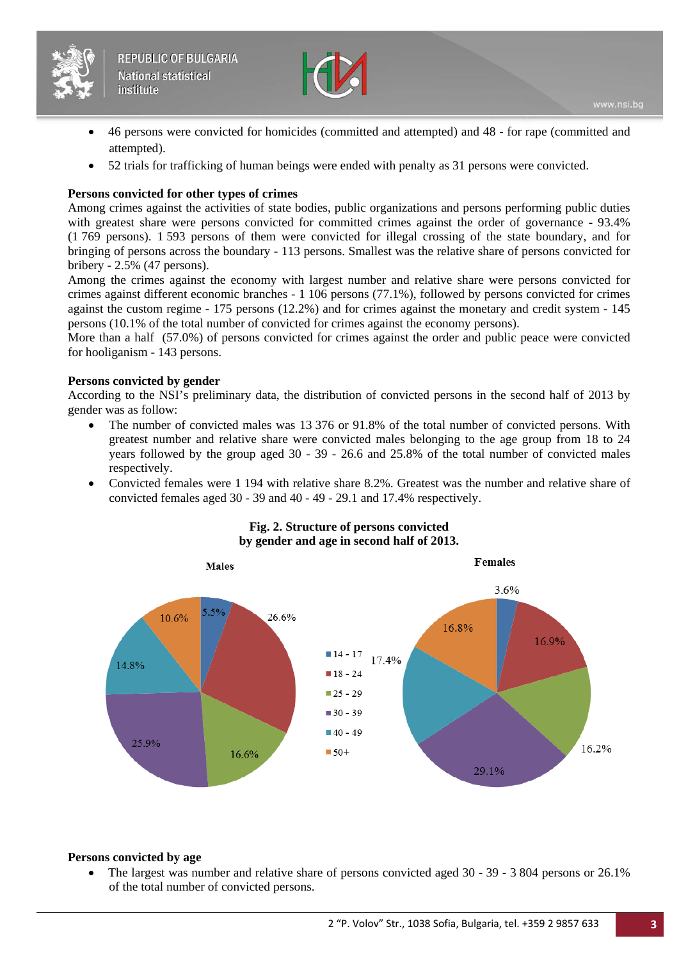



- 46 persons were convicted for homicides (committed and attempted) and 48 for rape (committed and attempted).
- 52 trials for trafficking of human beings were ended with penalty as 31 persons were convicted.

# **Persons convicted for other types of crimes**

Among crimes against the activities of state bodies, public organizations and persons performing public duties with greatest share were persons convicted for committed crimes against the order of governance - 93.4% (1 769 persons). 1 593 persons of them were convicted for illegal crossing of the state boundary, and for bringing of persons across the boundary - 113 persons. Smallest was the relative share of persons convicted for bribery - 2.5% (47 persons).

Among the crimes against the economy with largest number and relative share were persons convicted for crimes against different economic branches - 1 106 persons (77.1%), followed by persons convicted for crimes against the custom regime - 175 persons (12.2%) and for crimes against the monetary and credit system - 145 persons (10.1% of the total number of convicted for crimes against the economy persons).

More than a half (57.0%) of persons convicted for crimes against the order and public peace were convicted for hooliganism - 143 persons.

## **Persons convicted by gender**

According to the NSI's preliminary data, the distribution of convicted persons in the second half of 2013 by gender was as follow:

- The number of convicted males was 13 376 or 91.8% of the total number of convicted persons. With greatest number and relative share were convicted males belonging to the age group from 18 to 24 years followed by the group aged 30 - 39 - 26.6 and 25.8% of the total number of convicted males respectively.
- Convicted females were 1 194 with relative share 8.2%. Greatest was the number and relative share of convicted females aged 30 - 39 and 40 - 49 - 29.1 and 17.4% respectively.



# **Fig. 2. Structure of persons convicted by gender and age in second half of 2013.**

#### **Persons convicted by age**

• The largest was number and relative share of persons convicted aged 30 - 39 - 3 804 persons or 26.1% of the total number of convicted persons.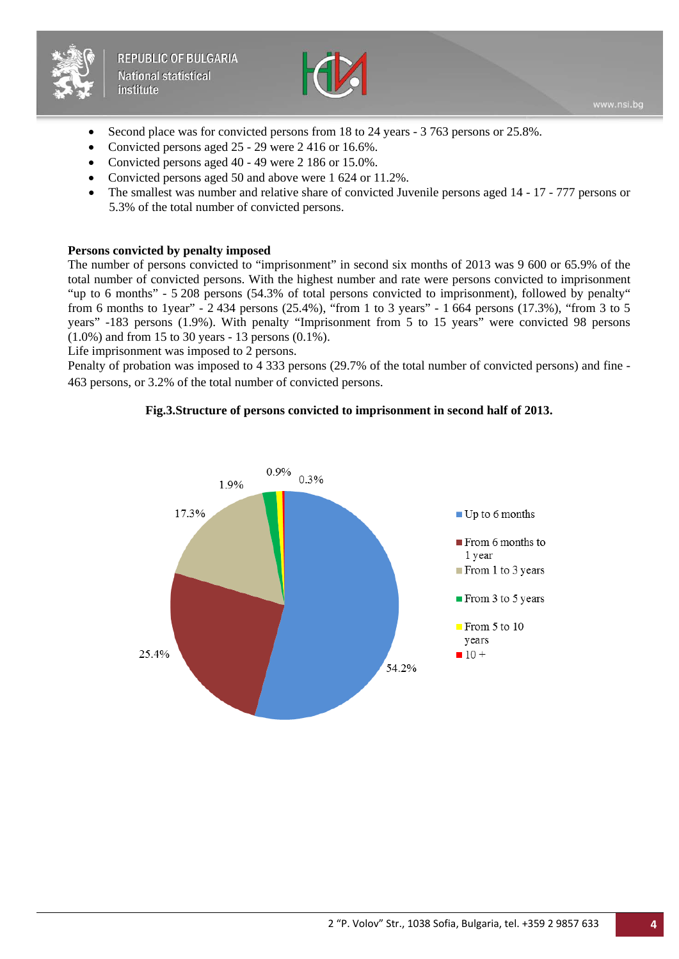



- Second place was for convicted persons from 18 to 24 years 3 763 persons or 25.8%.
- Convicted persons aged 25 29 were 2 416 or 16.6%.
- Convicted persons aged 40 49 were 2 186 or 15.0%.
- Convicted persons aged 50 and above were 1 624 or 11.2%.
- The smallest was number and relative share of convicted Juvenile persons aged 14 17 777 persons or 5.3% of the total number of convicted persons.

#### **Persons convicted by penalty imposed**

The number of persons convicted to "imprisonment" in second six months of 2013 was 9 600 or 65.9% of the total number of convicted persons. With the highest number and rate were persons convicted to imprisonment "up to 6 months" - 5 208 persons (54.3% of total persons convicted to imprisonment), followed by penalty" from 6 months to 1year" - 2 434 persons (25.4%), "from 1 to 3 years" - 1 664 persons (17.3%), "from 3 to 5 years" -183 persons (1.9%). With penalty "Imprisonment from 5 to 15 years" were convicted 98 persons (1.0%) and from 15 to 30 years - 13 persons (0.1%).

Life imprisonment was imposed to 2 persons.

Penalty of probation was imposed to 4 333 persons (29.7% of the total number of convicted persons) and fine - 463 persons, or 3.2% of the total number of convicted persons.

## **Fig.3.Structure of persons convicted to imprisonment in second half of 2013.**

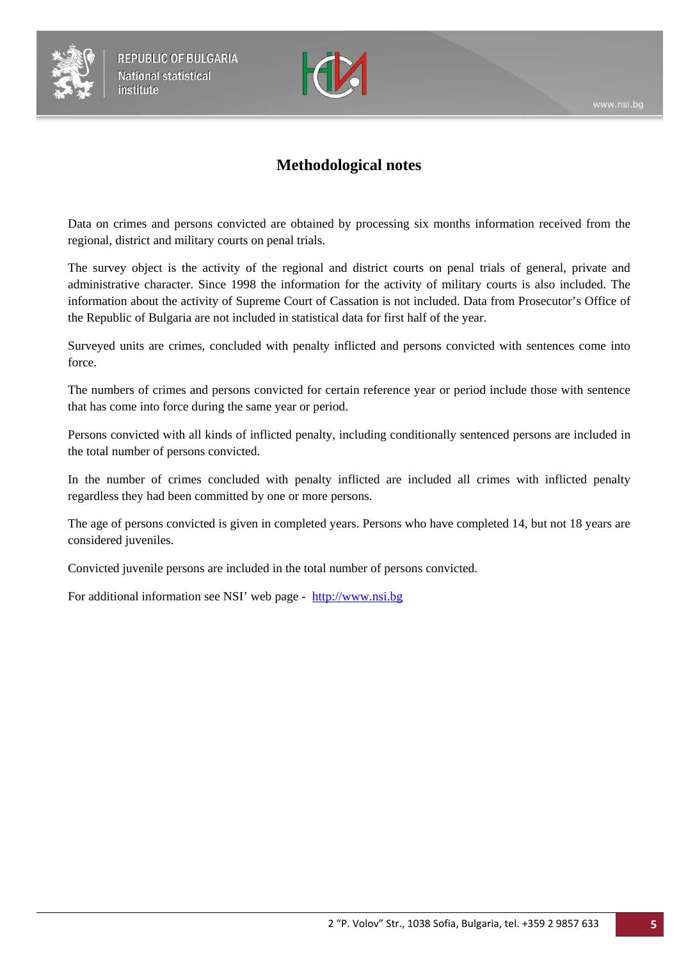



# **Methodological notes**

Data on crimes and persons convicted are obtained by processing six months information received from the regional, district and military courts on penal trials.

The survey object is the activity of the regional and district courts on penal trials of general, private and administrative character. Since 1998 the information for the activity of military courts is also included. The information about the activity of Supreme Court of Cassation is not included. Data from Prosecutor's Office of the Republic of Bulgaria are not included in statistical data for first half of the year.

Surveyed units are crimes, concluded with penalty inflicted and persons convicted with sentences come into force.

The numbers of crimes and persons convicted for certain reference year or period include those with sentence that has come into force during the same year or period.

Persons convicted with all kinds of inflicted penalty, including conditionally sentenced persons are included in the total number of persons convicted.

In the number of crimes concluded with penalty inflicted are included all crimes with inflicted penalty regardless they had been committed by one or more persons.

The age of persons convicted is given in completed years. Persons who have completed 14, but not 18 years are considered juveniles.

Convicted juvenile persons are included in the total number of persons convicted.

For additional information see NSI' web page - [http://www.nsi.bg](http://www.nsi.bg/)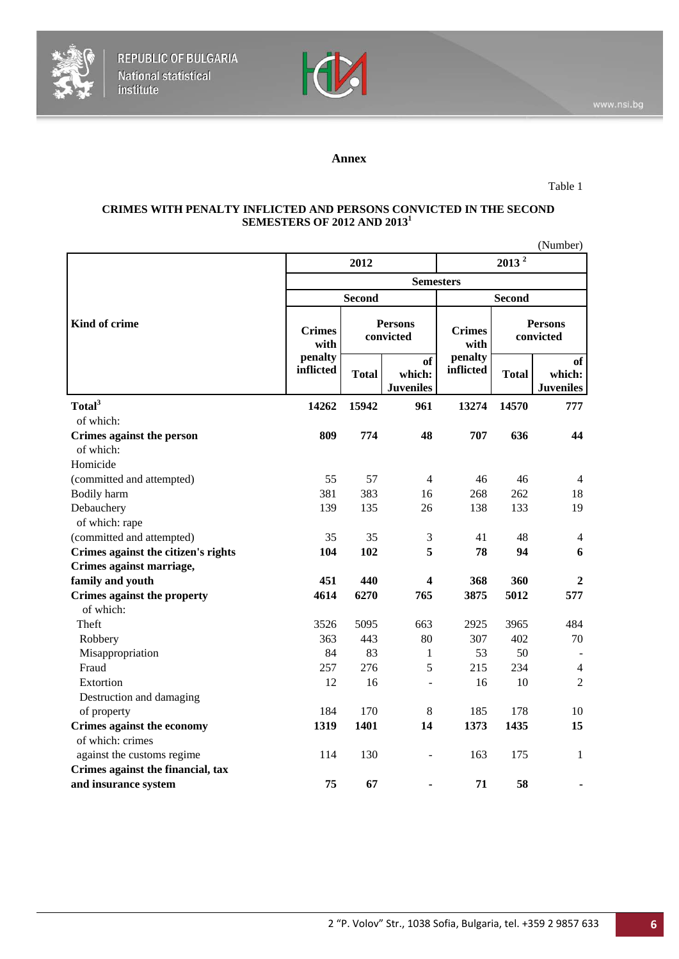



# **Annex**

#### Table 1

#### **CRIMES WITH PENALTY INFLICTED AND PERSONS CONVICTED IN THE SECOND SEMESTERS OF 2012 AND 2013<sup>1</sup>**

|                                          |                                               |                             |                                         |                       |                             | (Number)                         |
|------------------------------------------|-----------------------------------------------|-----------------------------|-----------------------------------------|-----------------------|-----------------------------|----------------------------------|
|                                          |                                               | 2012                        |                                         |                       | 2013 <sup>2</sup>           |                                  |
|                                          |                                               |                             | <b>Semesters</b>                        |                       |                             |                                  |
|                                          |                                               | <b>Second</b>               |                                         | <b>Second</b>         |                             |                                  |
| Kind of crime                            | <b>Crimes</b><br>with<br>penalty<br>inflicted | <b>Persons</b><br>convicted |                                         | <b>Crimes</b><br>with | <b>Persons</b><br>convicted |                                  |
|                                          |                                               | <b>Total</b>                | <b>of</b><br>which:<br><b>Juveniles</b> | penalty<br>inflicted  | <b>Total</b>                | of<br>which:<br><b>Juveniles</b> |
| Total <sup>3</sup>                       | 14262                                         | 15942                       | 961                                     | 13274                 | 14570                       | 777                              |
| of which:                                |                                               |                             |                                         |                       |                             |                                  |
| Crimes against the person<br>of which:   | 809                                           | 774                         | 48                                      | 707                   | 636                         | 44                               |
| Homicide                                 |                                               |                             |                                         |                       |                             |                                  |
| (committed and attempted)                | 55                                            | 57                          | $\overline{4}$                          | 46                    | 46                          | 4                                |
| Bodily harm                              | 381                                           | 383                         | 16                                      | 268                   | 262                         | 18                               |
| Debauchery<br>of which: rape             | 139                                           | 135                         | 26                                      | 138                   | 133                         | 19                               |
| (committed and attempted)                | 35                                            | 35                          | 3                                       | 41                    | 48                          | $\overline{4}$                   |
| Crimes against the citizen's rights      | 104                                           | 102                         | 5                                       | 78                    | 94                          | 6                                |
| Crimes against marriage,                 |                                               |                             |                                         |                       |                             |                                  |
| family and youth                         | 451                                           | 440                         | 4                                       | 368                   | 360                         | $\mathbf{2}$                     |
| Crimes against the property<br>of which: | 4614                                          | 6270                        | 765                                     | 3875                  | 5012                        | 577                              |
| Theft                                    | 3526                                          | 5095                        | 663                                     | 2925                  | 3965                        | 484                              |
| Robbery                                  | 363                                           | 443                         | 80                                      | 307                   | 402                         | 70                               |
| Misappropriation                         | 84                                            | 83                          | 1                                       | 53                    | 50                          |                                  |
| Fraud                                    | 257                                           | 276                         | 5                                       | 215                   | 234                         | $\overline{4}$                   |
| Extortion                                | 12                                            | 16                          | $\overline{a}$                          | 16                    | 10                          | $\overline{2}$                   |
| Destruction and damaging                 |                                               |                             |                                         |                       |                             |                                  |
| of property                              | 184                                           | 170                         | 8                                       | 185                   | 178                         | 10                               |
| <b>Crimes against the economy</b>        | 1319                                          | 1401                        | 14                                      | 1373                  | 1435                        | 15                               |
| of which: crimes                         |                                               |                             |                                         |                       |                             |                                  |
| against the customs regime               | 114                                           | 130                         |                                         | 163                   | 175                         | 1                                |
| Crimes against the financial, tax        |                                               |                             |                                         |                       |                             |                                  |
| and insurance system                     | 75                                            | 67                          |                                         | 71                    | 58                          |                                  |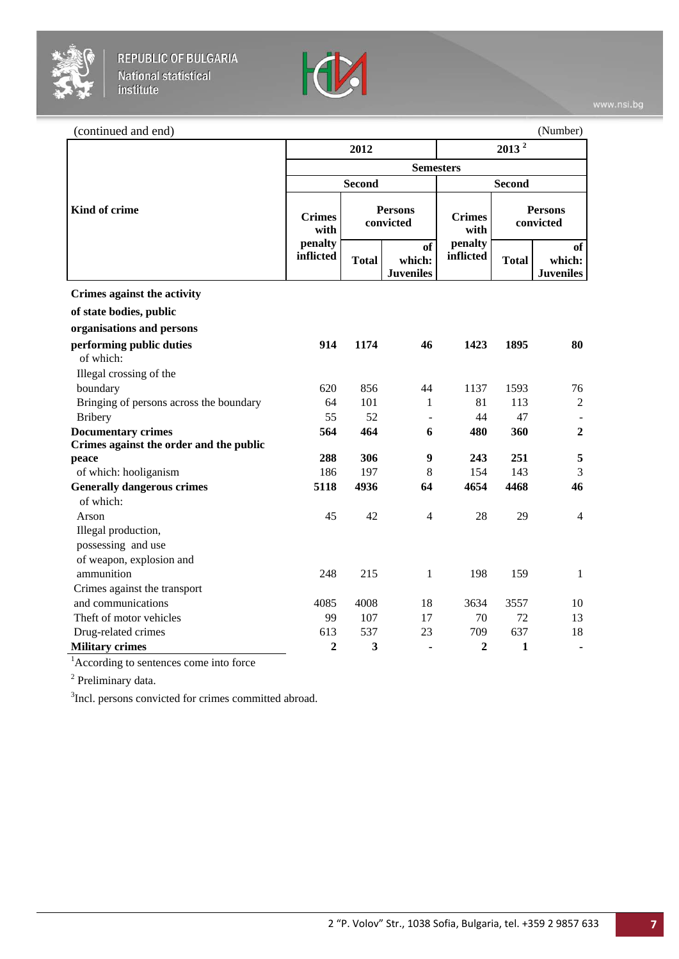



| (continued and end)                     |                       |                             |                                  |                              |                             | (Number)                         |  |
|-----------------------------------------|-----------------------|-----------------------------|----------------------------------|------------------------------|-----------------------------|----------------------------------|--|
|                                         |                       | 2012                        |                                  | $2013^2$<br><b>Semesters</b> |                             |                                  |  |
|                                         |                       |                             |                                  |                              |                             |                                  |  |
|                                         |                       | <b>Second</b>               |                                  |                              | <b>Second</b>               |                                  |  |
| Kind of crime                           | <b>Crimes</b><br>with | <b>Persons</b><br>convicted |                                  | <b>Crimes</b><br>with        | <b>Persons</b><br>convicted |                                  |  |
|                                         | penalty<br>inflicted  | <b>Total</b>                | of<br>which:<br><b>Juveniles</b> | penalty<br>inflicted         | <b>Total</b>                | of<br>which:<br><b>Juveniles</b> |  |
| Crimes against the activity             |                       |                             |                                  |                              |                             |                                  |  |
| of state bodies, public                 |                       |                             |                                  |                              |                             |                                  |  |
| organisations and persons               |                       |                             |                                  |                              |                             |                                  |  |
| performing public duties<br>of which:   | 914                   | 1174                        | 46                               | 1423                         | 1895                        | 80                               |  |
| Illegal crossing of the                 |                       |                             |                                  |                              |                             |                                  |  |
| boundary                                | 620                   | 856                         | 44                               | 1137                         | 1593                        | 76                               |  |
| Bringing of persons across the boundary | 64                    | 101                         | 1                                | 81                           | 113                         | $\overline{2}$                   |  |
| <b>Bribery</b>                          | 55                    | 52                          |                                  | 44                           | 47                          |                                  |  |
| <b>Documentary crimes</b>               | 564                   | 464                         | 6                                | 480                          | 360                         | $\overline{2}$                   |  |
| Crimes against the order and the public |                       |                             |                                  |                              |                             |                                  |  |
| peace                                   | 288                   | 306                         | 9                                | 243                          | 251                         | 5                                |  |
| of which: hooliganism                   | 186                   | 197                         | 8                                | 154                          | 143                         | 3                                |  |
| <b>Generally dangerous crimes</b>       | 5118                  | 4936                        | 64                               | 4654                         | 4468                        | 46                               |  |
| of which:                               |                       |                             |                                  |                              |                             |                                  |  |
| Arson                                   | 45                    | 42                          | $\overline{4}$                   | 28                           | 29                          | $\overline{4}$                   |  |
| Illegal production,                     |                       |                             |                                  |                              |                             |                                  |  |
| possessing and use                      |                       |                             |                                  |                              |                             |                                  |  |
| of weapon, explosion and                |                       |                             |                                  |                              |                             |                                  |  |
| ammunition                              | 248                   | 215                         | 1                                | 198                          | 159                         | 1                                |  |
| Crimes against the transport            |                       |                             |                                  |                              |                             |                                  |  |
| and communications                      | 4085                  | 4008                        | 18                               | 3634                         | 3557                        | 10                               |  |
| Theft of motor vehicles                 | 99                    | 107                         | 17                               | 70                           | 72                          | 13                               |  |
| Drug-related crimes                     | 613                   | 537                         | 23                               | 709                          | 637                         | 18                               |  |
| <b>Military crimes</b>                  | $\overline{2}$        | 3                           |                                  | $\overline{2}$               | 1                           | ٠                                |  |

<sup>1</sup> According to sentences come into force

<sup>2</sup> Preliminary data.

<sup>3</sup>Incl. persons convicted for crimes committed abroad.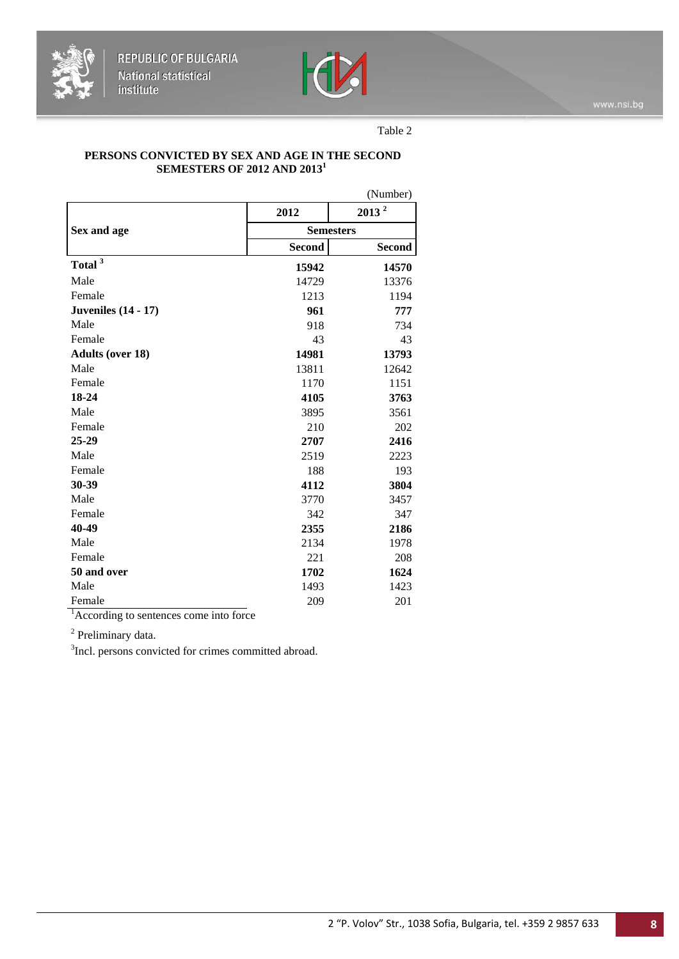



Table 2

#### **PERSONS CONVICTED BY SEX AND AGE IN THE SECOND SEMESTERS OF 2012 AND 2013<sup>1</sup>**

|                            |                  | (Number)          |  |  |
|----------------------------|------------------|-------------------|--|--|
|                            | 2012             | 2013 <sup>2</sup> |  |  |
| Sex and age                | <b>Semesters</b> |                   |  |  |
|                            | <b>Second</b>    | <b>Second</b>     |  |  |
| Total <sup>3</sup>         | 15942            | 14570             |  |  |
| Male                       | 14729            | 13376             |  |  |
| Female                     | 1213             | 1194              |  |  |
| <b>Juveniles</b> (14 - 17) | 961              | 777               |  |  |
| Male                       | 918              | 734               |  |  |
| Female                     | 43               | 43                |  |  |
| <b>Adults (over 18)</b>    | 14981            | 13793             |  |  |
| Male                       | 13811            | 12642             |  |  |
| Female                     | 1170             | 1151              |  |  |
| 18-24                      | 4105             | 3763              |  |  |
| Male                       | 3895             | 3561              |  |  |
| Female                     | 210              | 202               |  |  |
| 25-29                      | 2707             | 2416              |  |  |
| Male                       | 2519             | 2223              |  |  |
| Female                     | 188              | 193               |  |  |
| 30-39                      | 4112             | 3804              |  |  |
| Male                       | 3770             | 3457              |  |  |
| Female                     | 342              | 347               |  |  |
| 40-49                      | 2355             | 2186              |  |  |
| Male                       | 2134             | 1978              |  |  |
| Female                     | 221              | 208               |  |  |
| 50 and over                | 1702             | 1624              |  |  |
| Male                       | 1493             | 1423              |  |  |
| Female                     | 209              | 201               |  |  |

<sup>1</sup> According to sentences come into force

<sup>2</sup> Preliminary data.

<sup>3</sup>Incl. persons convicted for crimes committed abroad.